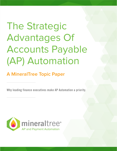# The Strategic Advantages Of Accounts Payable (AP) Automation

## **A MineralTree Topic Paper**

Why leading finance executives make AP Automation a priority.

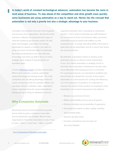In today's world of constant technological advances, automation has become the norm in most areas of business. To stay ahead of the competition and drive growth more quickly, savvy businesses are using automation as a way to stand out. Herein lies the concept that automation is not only a priority but also a strategic advantage to your business.

Innovation and evolution are key to the longevity and success of an organization. Across the entire business, software has expanded the scope of what the traditional job function entails. As with other technologies, automation isn't being developed to replace a function, but rather to bring new tools and functionality to individuals. By enabling individuals to do more with less, technology has freed up staff to focus on more strategic tasks instead of spending time on mundane tasks.

A recent [McKinsey report](http://www.mckinsey.com/business-functions/digital-mckinsey/our-insights/four-fundamentals-of-workplace-automation) revealed that at least 45% of work activities could be automated using technology that already exists.<sup>1</sup> Yet, most companies are not taking advantage of the full scope of resources that are available. While cost may play a factor in adoption rates, automation is less expensive than the closest alternatives: doing nothing or hiring an additional resource.

#### **Why Companies Automate**

Businesses strive to achieve maximum growth, and in order to grow, a business must make sure its operations are scalable. Best-in-class organizations know that automation is not a "nice to have," rather a "must have." Often, a counter

argument develops when evaluating an automated solution: "I don't want to eliminate any staff members." For a business to thrive and achieve better outcomes, automation must be paired with staffers so that employees are no longer allocating 100% of the time to tasks that can be automated, and as a result, their teams are more productive.

By definition, automation means to employ some automatic process to reduce human intervention. In turn, this makes automation a strategic tool to a business and it empowers individuals to do their jobs more efficiently while keeping errors to a minimum. For a growing business, it is important to establish key benchmarks to evaluate the success of any project. Automation is a best practice for scaling and efficiency, so in the evaluation of solutions, it is important to measure the impact of the solution on employee's time. Automation can be best measured by the ability to:

- Reduce occurrences of errors
- Refine deliverability and accuracy of reports
- Enhance visibility and accessibility of operations
- Decrease time spent on daily, weekly, monthly, and quarterly tasks
- Shorten decision times
- Increase consistency and accuracy of Accounts Payable



**[Four Fundamentals Of Workplace Automation](http://www.mckinsey.com/business-functions/digital-mckinsey/our-insights/four-fundamentals-of-workplace-automation)**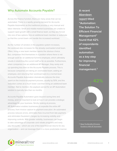#### **Why Automate Accounts Payable?**

Across the finance function, there are many areas that can be automated. There is a rapidly growing demand for Accounts Payable Automation as the traditional process is very manual and labor intensive. Small and middle-market businesses are unable to support rapid growth with a small finance team, so they are forced into one of two options: hire an additional team member or automate so that the current team can handle the increased workload.

As the number of vendors in the payables system increases, the workload also increases for the already overloaded small team. Often, hiring a new team member seems the obvious choice. But, companies find themselves in a position where there is not enough work for an additional full-time employee, which ultimately results in stretching the current staff as far as possible. Furthermore, when companies hire an additional AP Manager, they rarely end up spending less time on the Accounts Payable process. This is because companies are taking an overloaded team, adding an employee, and returning their workload back to a normal level. Accounts Payable Automation dramatically reduces the time spent on the invoice-to-payment process, usually by 50%, and this reduction comes at a much lower cost than hiring an additional team member. Not to mention, the payback period for an AP Automation solution is typically less than six months.

Accounts Payable Automation goes beyond saving time and money, and it is important to look at how it can provide a strategic advantage for your business. Strictly looking at process, AP Automation enables businesses to expedite the entire AP process, from invoice capture to payment execution. An automated process reduces errors, eliminates fees incurred from late payment, and eliminates fraudulent charges by increasing visibility and improving controls. With greater visibility, businesses can begin to take advantage of corporate card rebate programs and early pay discounts – which are one of the best financial returns for any organization – and can leverage them in a more predictable manner.

**A recent Aberdeen report titled "Automation: The Solution To Efficient Financial Management" found that 42% of respondents identified automation as a key step for improving financial management.2**

<sup>2</sup> Reap The Benefits Of Invoice Excellence With AP Automation

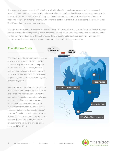The payment process is also simplified by the availability of multiple electronic payment options, advanced scheduling, automatic remittance details, and a mobile friendly interface. By utilizing electronic payment methods, businesses can also use virtual cards (if they don't have their own corporate card), enabling them to receive additional rebates on vendor purchases. With automatic remittance details, there is no reason for a vendor to call the AP department to check on a payment.

The biggest improvement of all may be time reallocation. With automation in place, the Accounts Payable Manager can focus on vendor management, process improvements, and higher value tasks rather than manual data-entry. Furthermore, when it comes to the audit process, there is an automatic, electronic audit trail. This improves compliance and reduces time spent searching through files for physical documentation.

#### **The Hidden Costs**

While the invoice-to-payment process seems simple, there are a lot of hidden costs that quickly add up. Let's look at the complete AP process: receive an invoice, find the appropriate purchaser for invoice approval, enter invoice data into the accounting system, request payment approval, execute payment, print checks, and mail.

It is important to understand that processing an invoice is more than just a piece of paper or a stamp. The costs break down into two categories: the cost of processing an invoice and the cost of processing the payment. Within these two categories, the cost of human capital is also included because it is necessary to factor in time spent on the AP process. Typically, an invoice costs between \$10 and \$15 to process, and a payment costs between \$2 and \$10. In total, the cost of processing and paying one invoice ranges between \$12 and \$25.



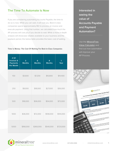#### **The Time To Automate Is Now**

If you are considering automating Accounts Payable, the time to do so is now. While you can wait, it will cost you. Best-in-class companies spend approximately \$12 to process an invoice and execute payment. Using that number, we calculated how much the AP process will cost you if you decide to wait. While a more in-depth analysis will showcase rebates available to your business and the payback period, the below table provides the basic cost of waiting.

#### Time Is Money: The Cost Of Waiting For Best-in-Class Companies

| $#$ Of<br><b>Invoices &amp;</b><br><b>Payments</b><br><b>Per Month</b> | 3<br><b>Months</b> | $6\phantom{a}$<br><b>Months</b> | 9<br><b>Months</b> | 1<br>Year |
|------------------------------------------------------------------------|--------------------|---------------------------------|--------------------|-----------|
| 100                                                                    | \$3,600            | \$7,200                         | \$10,800           | \$14,400  |
| 250                                                                    | \$9,000            | \$18,000                        | \$27,000           | \$36,000  |
| 500                                                                    | \$18,000           | \$36,000                        | \$54,000           | \$72,000  |
| 1000                                                                   | \$36,000           | \$72,000                        | \$108,000          | \$144,000 |
| 5000                                                                   | \$180,000          | \$360,000                       | \$540,000          | \$720,000 |

**Interested in seeing the value of Accounts Payable and Payment Automation?** 

Use the **MineralTree** Value Calculator and find out how automation will improve your AP Process.